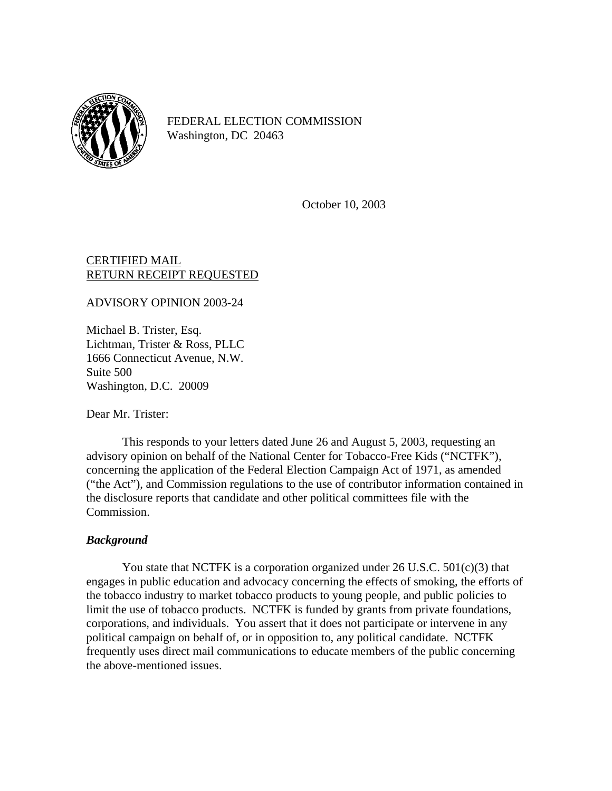

FEDERAL ELECTION COMMISSION Washington, DC 20463

October 10, 2003

## CERTIFIED MAIL RETURN RECEIPT REQUESTED

ADVISORY OPINION 2003-24

Michael B. Trister, Esq. Lichtman, Trister & Ross, PLLC 1666 Connecticut Avenue, N.W. Suite 500 Washington, D.C. 20009

Dear Mr. Trister:

This responds to your letters dated June 26 and August 5, 2003, requesting an advisory opinion on behalf of the National Center for Tobacco-Free Kids ("NCTFK"), concerning the application of the Federal Election Campaign Act of 1971, as amended ("the Act"), and Commission regulations to the use of contributor information contained in the disclosure reports that candidate and other political committees file with the Commission.

### *Background*

You state that NCTFK is a corporation organized under 26 U.S.C. 501(c)(3) that engages in public education and advocacy concerning the effects of smoking, the efforts of the tobacco industry to market tobacco products to young people, and public policies to limit the use of tobacco products. NCTFK is funded by grants from private foundations, corporations, and individuals. You assert that it does not participate or intervene in any political campaign on behalf of, or in opposition to, any political candidate. NCTFK frequently uses direct mail communications to educate members of the public concerning the above-mentioned issues.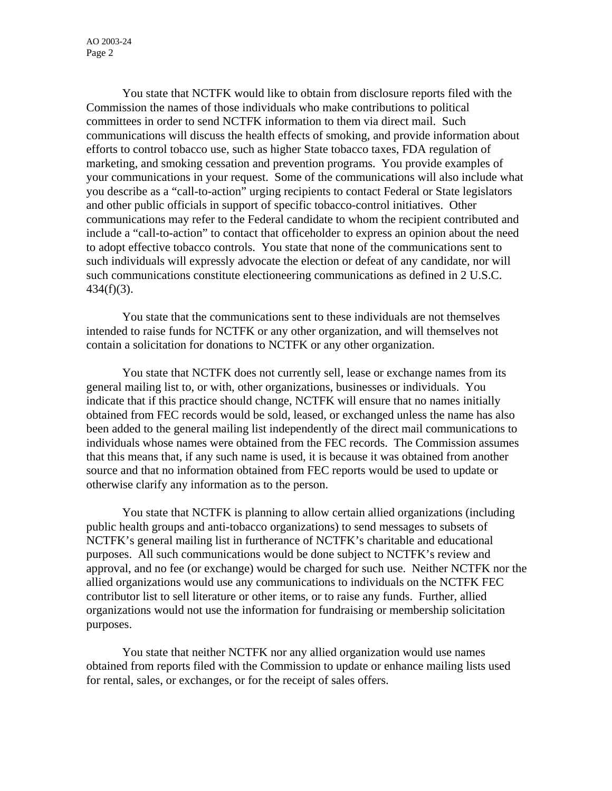AO 2003-24 Page 2

You state that NCTFK would like to obtain from disclosure reports filed with the Commission the names of those individuals who make contributions to political committees in order to send NCTFK information to them via direct mail. Such communications will discuss the health effects of smoking, and provide information about efforts to control tobacco use, such as higher State tobacco taxes, FDA regulation of marketing, and smoking cessation and prevention programs. You provide examples of your communications in your request. Some of the communications will also include what you describe as a "call-to-action" urging recipients to contact Federal or State legislators and other public officials in support of specific tobacco-control initiatives. Other communications may refer to the Federal candidate to whom the recipient contributed and include a "call-to-action" to contact that officeholder to express an opinion about the need to adopt effective tobacco controls. You state that none of the communications sent to such individuals will expressly advocate the election or defeat of any candidate, nor will such communications constitute electioneering communications as defined in 2 U.S.C.  $434(f)(3)$ .

You state that the communications sent to these individuals are not themselves intended to raise funds for NCTFK or any other organization, and will themselves not contain a solicitation for donations to NCTFK or any other organization.

You state that NCTFK does not currently sell, lease or exchange names from its general mailing list to, or with, other organizations, businesses or individuals. You indicate that if this practice should change, NCTFK will ensure that no names initially obtained from FEC records would be sold, leased, or exchanged unless the name has also been added to the general mailing list independently of the direct mail communications to individuals whose names were obtained from the FEC records. The Commission assumes that this means that, if any such name is used, it is because it was obtained from another source and that no information obtained from FEC reports would be used to update or otherwise clarify any information as to the person.

You state that NCTFK is planning to allow certain allied organizations (including public health groups and anti-tobacco organizations) to send messages to subsets of NCTFK's general mailing list in furtherance of NCTFK's charitable and educational purposes. All such communications would be done subject to NCTFK's review and approval, and no fee (or exchange) would be charged for such use. Neither NCTFK nor the allied organizations would use any communications to individuals on the NCTFK FEC contributor list to sell literature or other items, or to raise any funds. Further, allied organizations would not use the information for fundraising or membership solicitation purposes.

 You state that neither NCTFK nor any allied organization would use names obtained from reports filed with the Commission to update or enhance mailing lists used for rental, sales, or exchanges, or for the receipt of sales offers.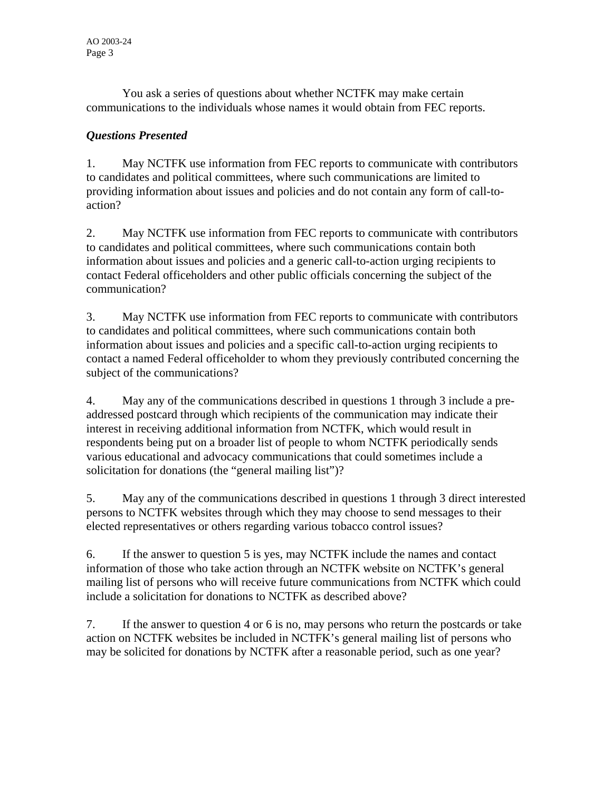You ask a series of questions about whether NCTFK may make certain communications to the individuals whose names it would obtain from FEC reports.

# *Questions Presented*

1. May NCTFK use information from FEC reports to communicate with contributors to candidates and political committees, where such communications are limited to providing information about issues and policies and do not contain any form of call-toaction?

2. May NCTFK use information from FEC reports to communicate with contributors to candidates and political committees, where such communications contain both information about issues and policies and a generic call-to-action urging recipients to contact Federal officeholders and other public officials concerning the subject of the communication?

3. May NCTFK use information from FEC reports to communicate with contributors to candidates and political committees, where such communications contain both information about issues and policies and a specific call-to-action urging recipients to contact a named Federal officeholder to whom they previously contributed concerning the subject of the communications?

4. May any of the communications described in questions 1 through 3 include a preaddressed postcard through which recipients of the communication may indicate their interest in receiving additional information from NCTFK, which would result in respondents being put on a broader list of people to whom NCTFK periodically sends various educational and advocacy communications that could sometimes include a solicitation for donations (the "general mailing list")?

5. May any of the communications described in questions 1 through 3 direct interested persons to NCTFK websites through which they may choose to send messages to their elected representatives or others regarding various tobacco control issues?

6. If the answer to question 5 is yes, may NCTFK include the names and contact information of those who take action through an NCTFK website on NCTFK's general mailing list of persons who will receive future communications from NCTFK which could include a solicitation for donations to NCTFK as described above?

7. If the answer to question 4 or 6 is no, may persons who return the postcards or take action on NCTFK websites be included in NCTFK's general mailing list of persons who may be solicited for donations by NCTFK after a reasonable period, such as one year?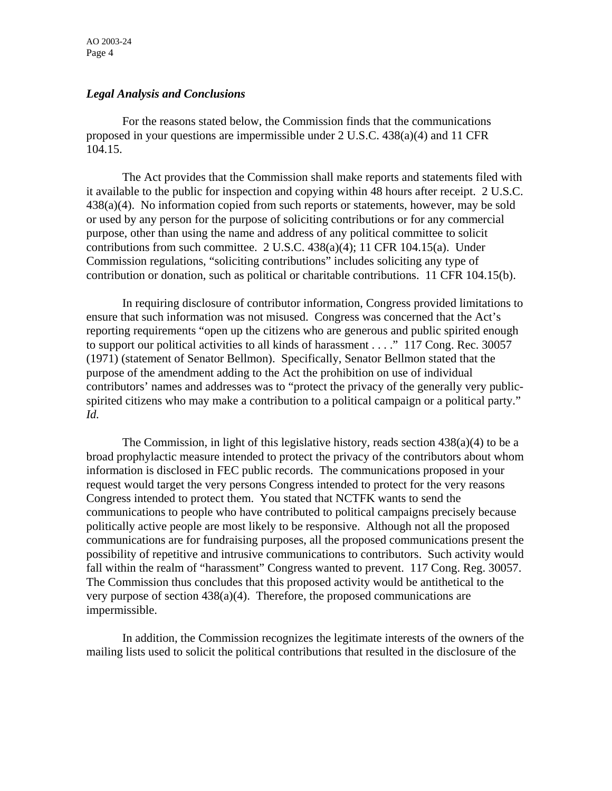AO 2003-24 Page 4

#### *Legal Analysis and Conclusions*

For the reasons stated below, the Commission finds that the communications proposed in your questions are impermissible under 2 U.S.C. 438(a)(4) and 11 CFR 104.15.

The Act provides that the Commission shall make reports and statements filed with it available to the public for inspection and copying within 48 hours after receipt. 2 U.S.C. 438(a)(4). No information copied from such reports or statements, however, may be sold or used by any person for the purpose of soliciting contributions or for any commercial purpose, other than using the name and address of any political committee to solicit contributions from such committee. 2 U.S.C. 438(a)(4); 11 CFR 104.15(a). Under Commission regulations, "soliciting contributions" includes soliciting any type of contribution or donation, such as political or charitable contributions. 11 CFR 104.15(b).

In requiring disclosure of contributor information, Congress provided limitations to ensure that such information was not misused. Congress was concerned that the Act's reporting requirements "open up the citizens who are generous and public spirited enough to support our political activities to all kinds of harassment . . . ." 117 Cong. Rec. 30057 (1971) (statement of Senator Bellmon). Specifically, Senator Bellmon stated that the purpose of the amendment adding to the Act the prohibition on use of individual contributors' names and addresses was to "protect the privacy of the generally very publicspirited citizens who may make a contribution to a political campaign or a political party." *Id.*

The Commission, in light of this legislative history, reads section  $438(a)(4)$  to be a broad prophylactic measure intended to protect the privacy of the contributors about whom information is disclosed in FEC public records. The communications proposed in your request would target the very persons Congress intended to protect for the very reasons Congress intended to protect them. You stated that NCTFK wants to send the communications to people who have contributed to political campaigns precisely because politically active people are most likely to be responsive. Although not all the proposed communications are for fundraising purposes, all the proposed communications present the possibility of repetitive and intrusive communications to contributors. Such activity would fall within the realm of "harassment" Congress wanted to prevent. 117 Cong. Reg. 30057. The Commission thus concludes that this proposed activity would be antithetical to the very purpose of section  $438(a)(4)$ . Therefore, the proposed communications are impermissible.

In addition, the Commission recognizes the legitimate interests of the owners of the mailing lists used to solicit the political contributions that resulted in the disclosure of the